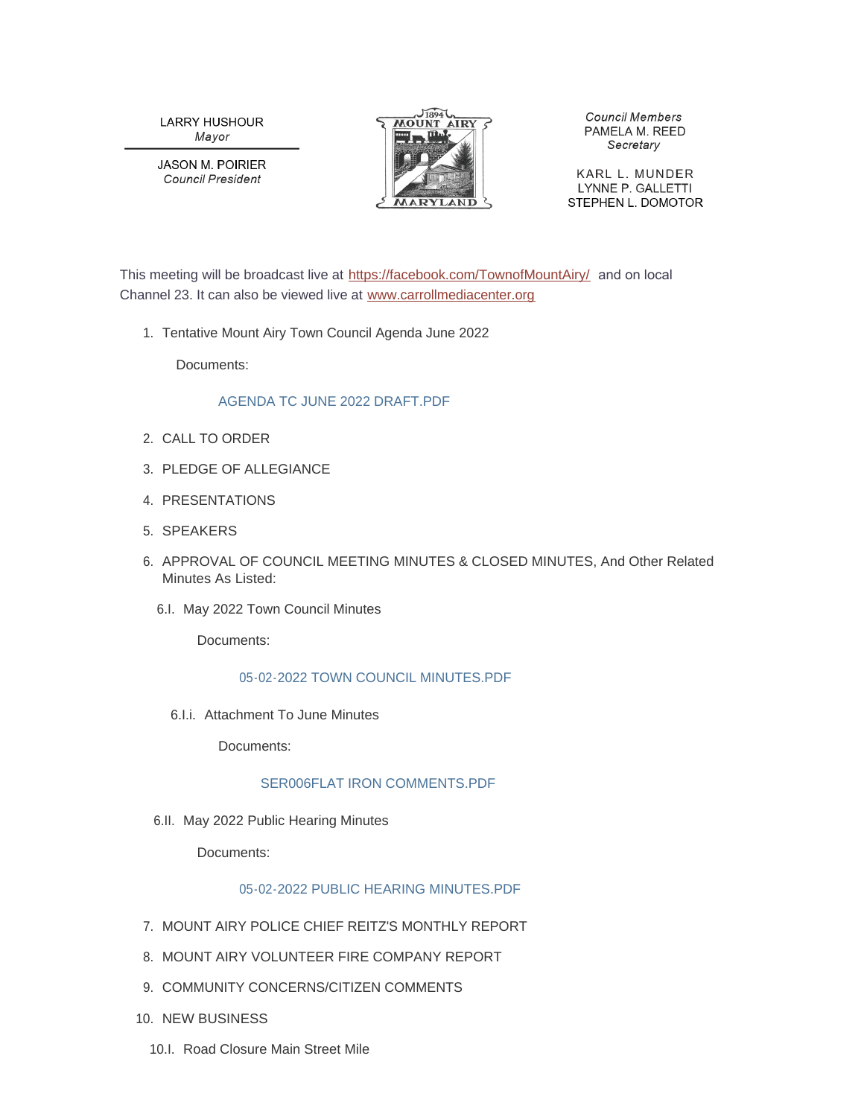**LARRY HUSHOUR** Mayor

**JASON M. POIRIER Council President** 



**Council Members** PAMELA M. REED Secretary

KARL L. MUNDER LYNNE P. GALLETTI STEPHEN L. DOMOTOR

This meeting will be broadcast live at <https://facebook.com/TownofMountAiry/> and on local Channel 23. It can also be viewed live at [www.carrollmediacenter.org](https://www.carrollmediacenter.org/)

1. Tentative Mount Airy Town Council Agenda June 2022

Documents:

# [AGENDA TC JUNE 2022 DRAFT.PDF](https://www.mountairymd.org/AgendaCenter/ViewFile/Item/1841?fileID=41547)

- 2. CALL TO ORDER
- PLEDGE OF ALLEGIANCE 3.
- 4. PRESENTATIONS
- SPEAKERS 5.
- 6. APPROVAL OF COUNCIL MEETING MINUTES & CLOSED MINUTES, And Other Related Minutes As Listed:
	- 6.I. May 2022 Town Council Minutes

Documents:

## [05-02-2022 TOWN COUNCIL MINUTES.PDF](https://www.mountairymd.org/AgendaCenter/ViewFile/Item/1842?fileID=41548)

6.I.i. Attachment To June Minutes

Documents:

# [SER006FLAT IRON COMMENTS.PDF](https://www.mountairymd.org/AgendaCenter/ViewFile/Item/1843?fileID=41549)

6.II. May 2022 Public Hearing Minutes

Documents:

# [05-02-2022 PUBLIC HEARING MINUTES.PDF](https://www.mountairymd.org/AgendaCenter/ViewFile/Item/1844?fileID=41550)

- 7. MOUNT AIRY POLICE CHIEF REITZ'S MONTHLY REPORT
- 8. MOUNT AIRY VOLUNTEER FIRE COMPANY REPORT
- 9. COMMUNITY CONCERNS/CITIZEN COMMENTS
- 10. NEW BUSINESS
	- 10.I. Road Closure Main Street Mile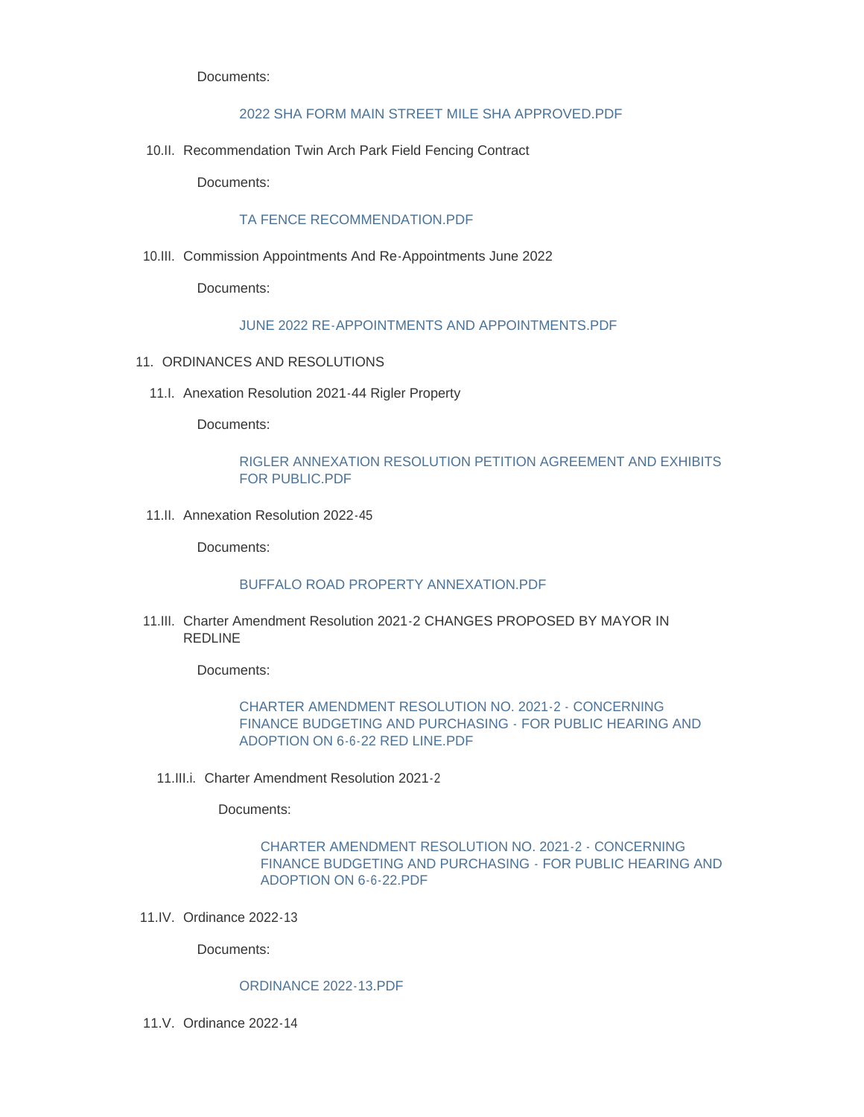Documents:

## [2022 SHA FORM MAIN STREET MILE SHA APPROVED.PDF](https://www.mountairymd.org/AgendaCenter/ViewFile/Item/1845?fileID=41551)

10.II. Recommendation Twin Arch Park Field Fencing Contract

Documents:

### [TA FENCE RECOMMENDATION.PDF](https://www.mountairymd.org/AgendaCenter/ViewFile/Item/1846?fileID=41552)

10.III. Commission Appointments And Re-Appointments June 2022

Documents:

## [JUNE 2022 RE-APPOINTMENTS AND APPOINTMENTS.PDF](https://www.mountairymd.org/AgendaCenter/ViewFile/Item/1847?fileID=41553)

- 11. ORDINANCES AND RESOLUTIONS
	- 11.I. Anexation Resolution 2021-44 Rigler Property

Documents:

## [RIGLER ANNEXATION RESOLUTION PETITION AGREEMENT AND EXHIBITS](https://www.mountairymd.org/AgendaCenter/ViewFile/Item/1848?fileID=41554)  FOR PUBLIC.PDF

11.II. Annexation Resolution 2022-45

Documents:

#### [BUFFALO ROAD PROPERTY ANNEXATION.PDF](https://www.mountairymd.org/AgendaCenter/ViewFile/Item/1849?fileID=41555)

11.III. Charter Amendment Resolution 2021-2 CHANGES PROPOSED BY MAYOR IN REDLINE

Documents:

CHARTER AMENDMENT RESOLUTION NO. 2021-2 - CONCERNING [FINANCE BUDGETING AND PURCHASING - FOR PUBLIC HEARING AND](https://www.mountairymd.org/AgendaCenter/ViewFile/Item/1850?fileID=41556)  ADOPTION ON 6-6-22 RED LINE.PDF

11.III.i. Charter Amendment Resolution 2021-2

Documents:

# CHARTER AMENDMENT RESOLUTION NO. 2021-2 - CONCERNING [FINANCE BUDGETING AND PURCHASING - FOR PUBLIC HEARING AND](https://www.mountairymd.org/AgendaCenter/ViewFile/Item/1851?fileID=41557)  ADOPTION ON 6-6-22.PDF

11.IV. Ordinance 2022-13

Documents:

### [ORDINANCE 2022-13.PDF](https://www.mountairymd.org/AgendaCenter/ViewFile/Item/1852?fileID=41558)

11.V. Ordinance 2022-14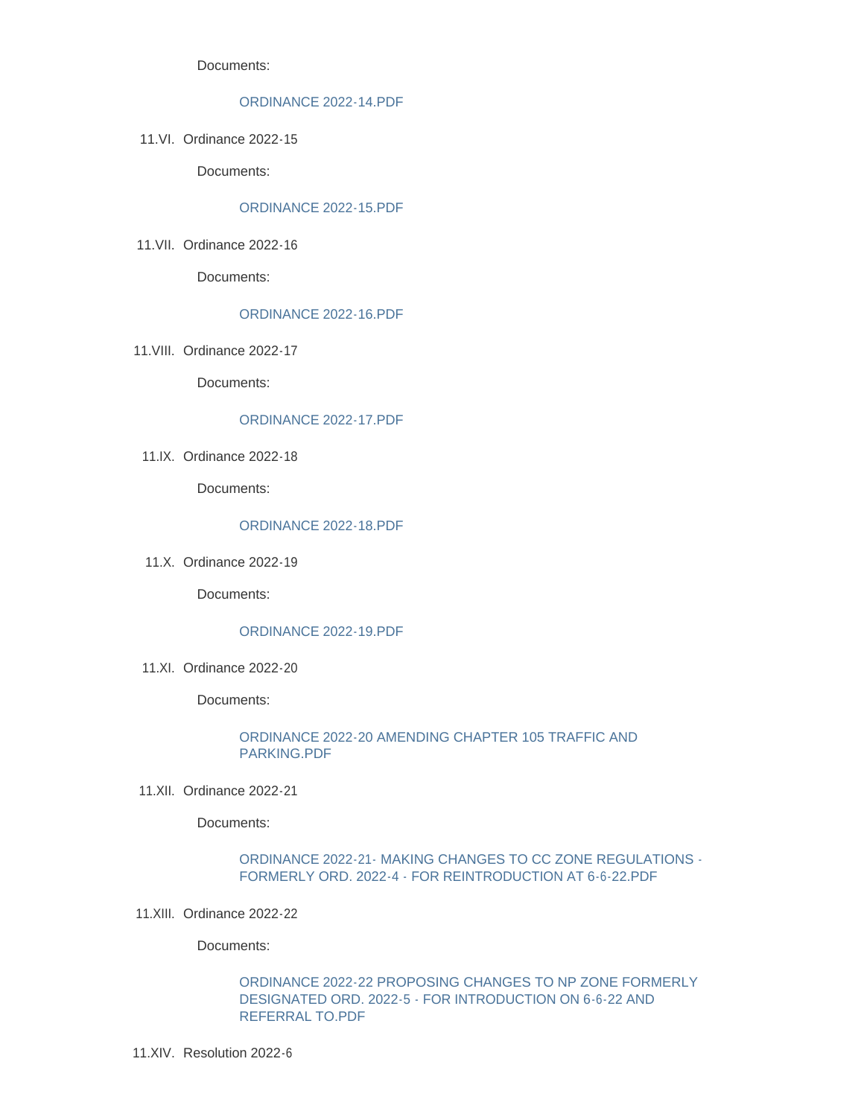Documents:

### [ORDINANCE 2022-14.PDF](https://www.mountairymd.org/AgendaCenter/ViewFile/Item/1853?fileID=41559)

11.VI. Ordinance 2022-15

Documents:

#### [ORDINANCE 2022-15.PDF](https://www.mountairymd.org/AgendaCenter/ViewFile/Item/1854?fileID=41560)

11. VII. Ordinance 2022-16

Documents:

#### [ORDINANCE 2022-16.PDF](https://www.mountairymd.org/AgendaCenter/ViewFile/Item/1855?fileID=41561)

11. VIII. Ordinance 2022-17

Documents:

### [ORDINANCE 2022-17.PDF](https://www.mountairymd.org/AgendaCenter/ViewFile/Item/1856?fileID=41562)

11.IX. Ordinance 2022-18

Documents:

#### [ORDINANCE 2022-18.PDF](https://www.mountairymd.org/AgendaCenter/ViewFile/Item/1857?fileID=41563)

11.X. Ordinance 2022-19

Documents:

# [ORDINANCE 2022-19.PDF](https://www.mountairymd.org/AgendaCenter/ViewFile/Item/1858?fileID=41564)

11.XI. Ordinance 2022-20

Documents:

[ORDINANCE 2022-20 AMENDING CHAPTER 105 TRAFFIC AND](https://www.mountairymd.org/AgendaCenter/ViewFile/Item/1859?fileID=41565)  PARKING.PDF

11.XII. Ordinance 2022-21

Documents:

### [ORDINANCE 2022-21- MAKING CHANGES TO CC ZONE REGULATIONS -](https://www.mountairymd.org/AgendaCenter/ViewFile/Item/1860?fileID=41566) FORMERLY ORD. 2022-4 - FOR REINTRODUCTION AT 6-6-22.PDF

11.XIII. Ordinance 2022-22

Documents:

[ORDINANCE 2022-22 PROPOSING CHANGES TO NP ZONE FORMERLY](https://www.mountairymd.org/AgendaCenter/ViewFile/Item/1861?fileID=41567)  DESIGNATED ORD. 2022-5 - FOR INTRODUCTION ON 6-6-22 AND REFERRAL TO.PDF